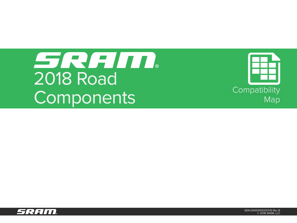# SRAID. 2018 Road Compatibility<br>
Compatibility<br>
Map



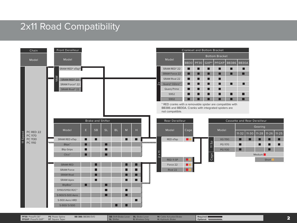### 2x11 Road Compatibility



**PFGXP**: PressFit GXP™

**PF30**: PressFit 30™ PS: Power Spline BB 386: BB386 EVO SB: Shift-Brake Lever BL: Brake Lever M: Cable Actuated Brake Required: Required: Required: PressFit 30™ PS: PressFit 30™ PS: Post and Detail and Detail and Detail a **BB 386:** BB386 EVO **SB:** Shift-Brake Lever **SL**: Shifter **BL:** Brake Lever **E:** Wireless Only

**M:** Cable Actuated Brake **H:** Hydraulic Brake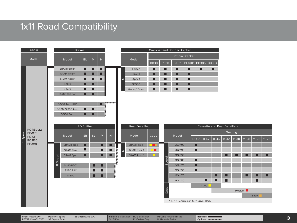#### 1x11 Road Compatibility



**PFGXP**: PressFit GXP™

**PS**: Power Spline **ST: Square Taper** 

**BB 386:** BB386 EVO **SB:** Shift-Brake Lever

**PF30**: PressFit 30™ PS: Power Spline BB 386: BB386 EVO SB: Shift-Brake Lever BL: Brake Lever M: Cable Actuated Brake Required: Required: Required: Required: PressFit 30™ PS: PressFit 30™ PS: Post and Detail and Detail an **SL**: Shifter **BL:** Brake Lever **E:** Wireless Only

**M:** Cable Actuated Brake **H:** Hydraulic Brake

**Required: Optional:**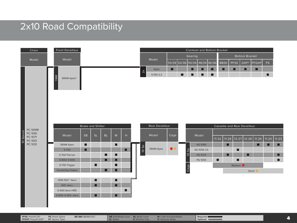## 2x10 Road Compatibility



**PFGXP**: PressFit GXP™

**PF30**: PressFit 30™ PS: Power Spline BB 386: BB386 EVO SB: Shift-Brake Lever BL: Brake Lever M: Cable Actuated Brake Required: Required: Required: PressFit 30™ PS: PressFit 30™ PS: Post and Detail and Detail and Detail a **BB 386:** BB386 EVO **SB:** Shift-Brake Lever **SL**: Shifter **BL:** Brake Lever **E:** Wireless Only

**M:** Cable Actuated Brake **H:** Hydraulic Brake

**Required: Optional:**